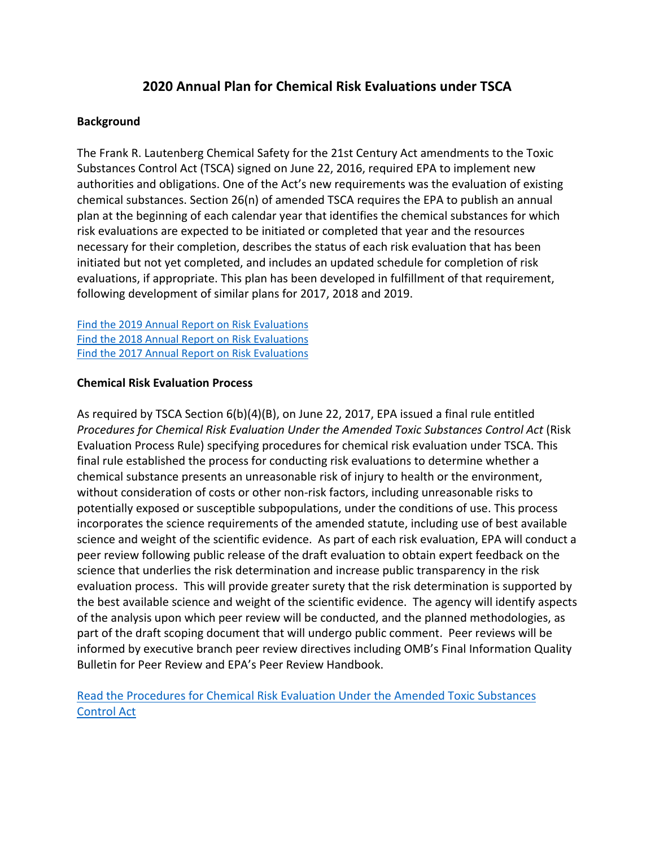# **2020 Annual Plan for Chemical Risk Evaluations under TSCA**

### **Background**

The Frank R. Lautenberg Chemical Safety for the 21st Century Act amendments to the Toxic Substances Control Act (TSCA) signed on June 22, 2016, required EPA to implement new authorities and obligations. One of the Act's new requirements was the evaluation of existing chemical substances. Section 26(n) of amended TSCA requires the EPA to publish an annual plan at the beginning of each calendar year that identifies the chemical substances for which risk evaluations are expected to be initiated or completed that year and the resources necessary for their completion, describes the status of each risk evaluation that has been initiated but not yet completed, and includes an updated schedule for completion of risk evaluations, if appropriate. This plan has been developed in fulfillment of that requirement, following development of similar plans for 2017, 2018 and 2019.

[Find the 2019 Annual Report on Risk Evaluations](https://www.epa.gov/sites/production/files/2019-05/documents/2019_tsca_annual_plan.pdf) [Find the 2018 Annual Report on Risk Evaluations](https://www.epa.gov/sites/production/files/2018-01/documents/2018_annual_risk_evaluation_plan_final.pdf) [Find the 2017 Annual Report on Risk Evaluations](https://www.epa.gov/sites/production/files/2017-02/documents/2017annualreportriskevaluations.pdf)

### **Chemical Risk Evaluation Process**

As required by TSCA Section 6(b)(4)(B), on June 22, 2017, EPA issued a final rule entitled *Procedures for Chemical Risk Evaluation Under the Amended Toxic Substances Control Act* (Risk Evaluation Process Rule) specifying procedures for chemical risk evaluation under TSCA. This final rule established the process for conducting risk evaluations to determine whether a chemical substance presents an unreasonable risk of injury to health or the environment, without consideration of costs or other non-risk factors, including unreasonable risks to potentially exposed or susceptible subpopulations, under the conditions of use. This process incorporates the science requirements of the amended statute, including use of best available science and weight of the scientific evidence. As part of each risk evaluation, EPA will conduct a peer review following public release of the draft evaluation to obtain expert feedback on the science that underlies the risk determination and increase public transparency in the risk evaluation process. This will provide greater surety that the risk determination is supported by the best available science and weight of the scientific evidence. The agency will identify aspects of the analysis upon which peer review will be conducted, and the planned methodologies, as part of the draft scoping document that will undergo public comment. Peer reviews will be informed by executive branch peer review directives including OMB's Final Information Quality Bulletin for Peer Review and EPA's Peer Review Handbook.

[Read the Procedures for Chemical Risk Evaluation Under the Amended Toxic Substances](https://www.regulations.gov/document?D=EPA-HQ-OPPT-2016-0654-0108)  [Control Act](https://www.regulations.gov/document?D=EPA-HQ-OPPT-2016-0654-0108)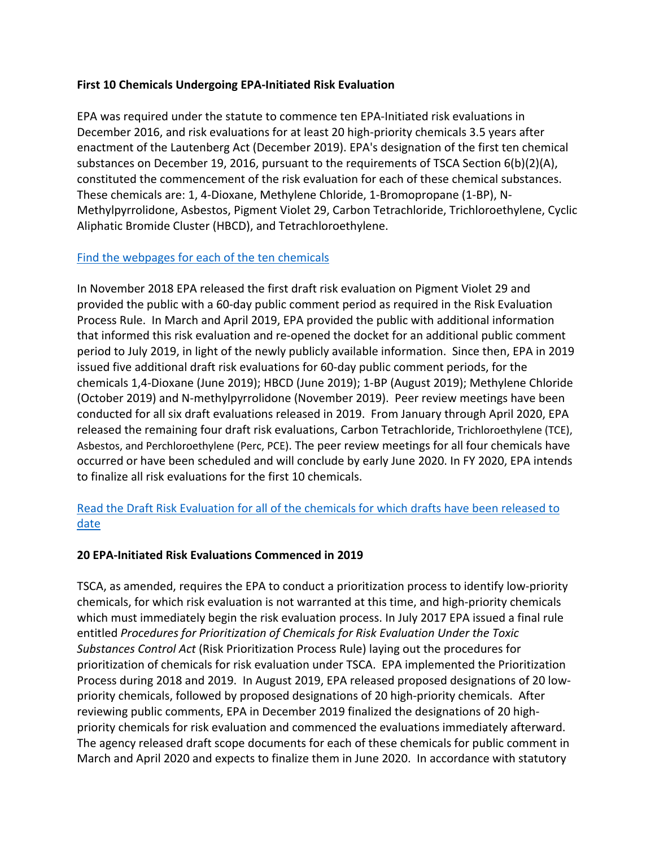### **First 10 Chemicals Undergoing EPA-Initiated Risk Evaluation**

EPA was required under the statute to commence ten EPA-Initiated risk evaluations in December 2016, and risk evaluations for at least 20 high-priority chemicals 3.5 years after enactment of the Lautenberg Act (December 2019). EPA's designation of the first ten chemical substances on December 19, 2016, pursuant to the requirements of TSCA Section 6(b)(2)(A), constituted the commencement of the risk evaluation for each of these chemical substances. These chemicals are: 1, 4‐Dioxane, Methylene Chloride, 1‐Bromopropane (1-BP), N‐ Methylpyrrolidone, Asbestos, Pigment Violet 29, Carbon Tetrachloride, Trichloroethylene, Cyclic Aliphatic Bromide Cluster (HBCD), and Tetrachloroethylene.

### [Find the webpages for each of the ten chemicals](https://www.epa.gov/assessing-and-managing-chemicals-under-tsca/risk-evaluations-existing-chemicals-under-tsca#ten)

In November 2018 EPA released the first draft risk evaluation on Pigment Violet 29 and provided the public with a 60‐day public comment period as required in the Risk Evaluation Process Rule. In March and April 2019, EPA provided the public with additional information that informed this risk evaluation and re‐opened the docket for an additional public comment period to July 2019, in light of the newly publicly available information. Since then, EPA in 2019 issued five additional draft risk evaluations for 60-day public comment periods, for the chemicals 1,4-Dioxane (June 2019); HBCD (June 2019); 1-BP (August 2019); Methylene Chloride (October 2019) and N-methylpyrrolidone (November 2019). Peer review meetings have been conducted for all six draft evaluations released in 2019. From January through April 2020, EPA released the remaining four draft risk evaluations, Carbon Tetrachloride, Trichloroethylene (TCE), Asbestos, and Perchloroethylene (Perc, PCE). The peer review meetings for all four chemicals have occurred or have been scheduled and will conclude by early June 2020. In FY 2020, EPA intends to finalize all risk evaluations for the first 10 chemicals.

# [Read the Draft Risk Evaluation for all of the chemicals for which drafts have been released to](https://www.epa.gov/assessing-and-managing-chemicals-under-tsca/risk-evaluations-existing-chemicals-under-tsca#ten)  [date](https://www.epa.gov/assessing-and-managing-chemicals-under-tsca/risk-evaluations-existing-chemicals-under-tsca#ten)

# **20 EPA-Initiated Risk Evaluations Commenced in 2019**

TSCA, as amended, requires the EPA to conduct a prioritization process to identify low-priority chemicals, for which risk evaluation is not warranted at this time, and high-priority chemicals which must immediately begin the risk evaluation process. In July 2017 EPA issued a final rule entitled *Procedures for Prioritization of Chemicals for Risk Evaluation Under the Toxic Substances Control Act* (Risk Prioritization Process Rule) laying out the procedures for prioritization of chemicals for risk evaluation under TSCA. EPA implemented the Prioritization Process during 2018 and 2019. In August 2019, EPA released proposed designations of 20 lowpriority chemicals, followed by proposed designations of 20 high-priority chemicals. After reviewing public comments, EPA in December 2019 finalized the designations of 20 highpriority chemicals for risk evaluation and commenced the evaluations immediately afterward. The agency released draft scope documents for each of these chemicals for public comment in March and April 2020 and expects to finalize them in June 2020. In accordance with statutory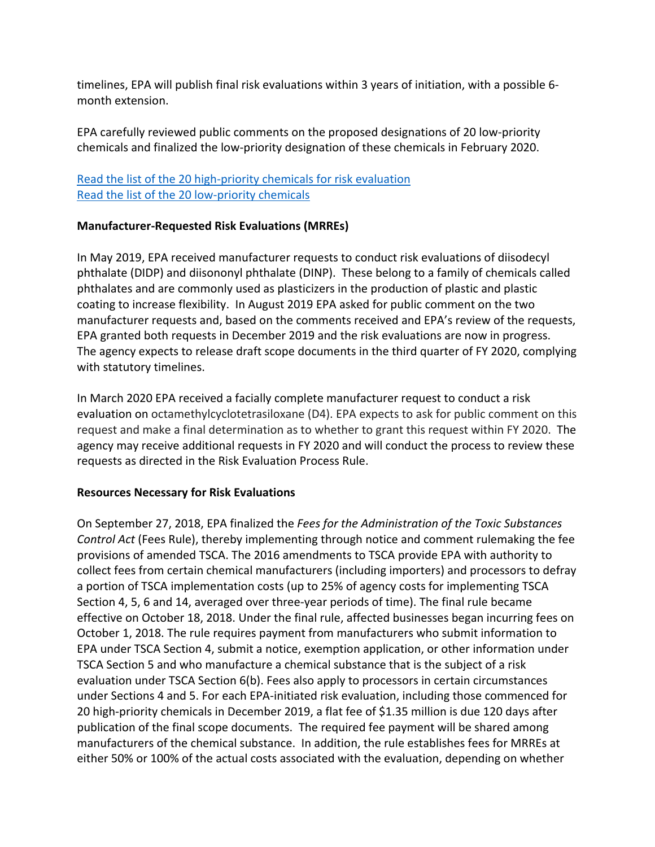timelines, EPA will publish final risk evaluations within 3 years of initiation, with a possible 6month extension.

EPA carefully reviewed public comments on the proposed designations of 20 low-priority chemicals and finalized the low-priority designation of these chemicals in February 2020.

# [Read the list of the 20 high-priority chemicals for risk evaluation](https://www.epa.gov/assessing-and-managing-chemicals-under-tsca/chemical-substances-undergoing-prioritization-low) [Read the list of the 20 low-priority chemicals](https://www.epa.gov/assessing-and-managing-chemicals-under-tsca/chemical-substances-undergoing-prioritization-low)

# **Manufacturer-Requested Risk Evaluations (MRREs)**

In May 2019, EPA received manufacturer requests to conduct risk evaluations of diisodecyl phthalate (DIDP) and diisononyl phthalate (DINP). These belong to a family of chemicals called phthalates and are commonly used as plasticizers in the production of plastic and plastic coating to increase flexibility. In August 2019 EPA asked for public comment on the two manufacturer requests and, based on the comments received and EPA's review of the requests, EPA granted both requests in December 2019 and the risk evaluations are now in progress. The agency expects to release draft scope documents in the third quarter of FY 2020, complying with statutory timelines.

In March 2020 EPA received a facially complete manufacturer request to conduct a risk evaluation on octamethylcyclotetrasiloxane (D4). EPA expects to ask for public comment on this request and make a final determination as to whether to grant this request within FY 2020. The agency may receive additional requests in FY 2020 and will conduct the process to review these requests as directed in the Risk Evaluation Process Rule.

# **Resources Necessary for Risk Evaluations**

On September 27, 2018, EPA finalized the *Fees for the Administration of the Toxic Substances Control Act* (Fees Rule), thereby implementing through notice and comment rulemaking the fee provisions of amended TSCA. The 2016 amendments to TSCA provide EPA with authority to collect fees from certain chemical manufacturers (including importers) and processors to defray a portion of TSCA implementation costs (up to 25% of agency costs for implementing TSCA Section 4, 5, 6 and 14, averaged over three-year periods of time). The final rule became effective on October 18, 2018. Under the final rule, affected businesses began incurring fees on October 1, 2018. The rule requires payment from manufacturers who submit information to EPA under TSCA Section 4, submit a notice, exemption application, or other information under TSCA Section 5 and who manufacture a chemical substance that is the subject of a risk evaluation under TSCA Section 6(b). Fees also apply to processors in certain circumstances under Sections 4 and 5. For each EPA-initiated risk evaluation, including those commenced for 20 high-priority chemicals in December 2019, a flat fee of \$1.35 million is due 120 days after publication of the final scope documents. The required fee payment will be shared among manufacturers of the chemical substance. In addition, the rule establishes fees for MRREs at either 50% or 100% of the actual costs associated with the evaluation, depending on whether